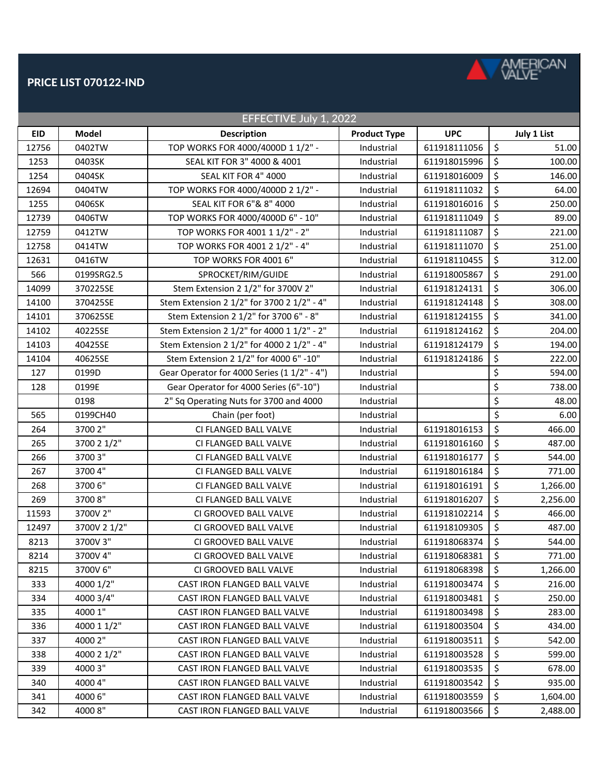

## PRICE LIST 070122-IND

| EFFECTIVE July 1, 2022 |              |                                             |                     |              |    |             |  |  |  |  |
|------------------------|--------------|---------------------------------------------|---------------------|--------------|----|-------------|--|--|--|--|
| <b>EID</b>             | <b>Model</b> | <b>Description</b>                          | <b>Product Type</b> | <b>UPC</b>   |    | July 1 List |  |  |  |  |
| 12756                  | 0402TW       | TOP WORKS FOR 4000/4000D 1 1/2" -           | Industrial          | 611918111056 | \$ | 51.00       |  |  |  |  |
| 1253                   | 0403SK       | SEAL KIT FOR 3" 4000 & 4001                 | Industrial          | 611918015996 | \$ | 100.00      |  |  |  |  |
| 1254                   | 0404SK       | SEAL KIT FOR 4" 4000                        | Industrial          | 611918016009 | \$ | 146.00      |  |  |  |  |
| 12694                  | 0404TW       | TOP WORKS FOR 4000/4000D 2 1/2" -           | Industrial          | 611918111032 | \$ | 64.00       |  |  |  |  |
| 1255                   | 0406SK       | SEAL KIT FOR 6"& 8" 4000                    | Industrial          | 611918016016 | \$ | 250.00      |  |  |  |  |
| 12739                  | 0406TW       | TOP WORKS FOR 4000/4000D 6" - 10"           | Industrial          | 611918111049 | \$ | 89.00       |  |  |  |  |
| 12759                  | 0412TW       | TOP WORKS FOR 4001 1 1/2" - 2"              | Industrial          | 611918111087 | \$ | 221.00      |  |  |  |  |
| 12758                  | 0414TW       | TOP WORKS FOR 4001 2 1/2" - 4"              | Industrial          | 611918111070 | \$ | 251.00      |  |  |  |  |
| 12631                  | 0416TW       | TOP WORKS FOR 4001 6"                       | Industrial          | 611918110455 | \$ | 312.00      |  |  |  |  |
| 566                    | 0199SRG2.5   | SPROCKET/RIM/GUIDE                          | Industrial          | 611918005867 | \$ | 291.00      |  |  |  |  |
| 14099                  | 370225SE     | Stem Extension 2 1/2" for 3700V 2"          | Industrial          | 611918124131 | \$ | 306.00      |  |  |  |  |
| 14100                  | 370425SE     | Stem Extension 2 1/2" for 3700 2 1/2" - 4"  | Industrial          | 611918124148 | \$ | 308.00      |  |  |  |  |
| 14101                  | 370625SE     | Stem Extension 2 1/2" for 3700 6" - 8"      | Industrial          | 611918124155 | \$ | 341.00      |  |  |  |  |
| 14102                  | 40225SE      | Stem Extension 2 1/2" for 4000 1 1/2" - 2"  | Industrial          | 611918124162 | \$ | 204.00      |  |  |  |  |
| 14103                  | 40425SE      | Stem Extension 2 1/2" for 4000 2 1/2" - 4"  | Industrial          | 611918124179 | \$ | 194.00      |  |  |  |  |
| 14104                  | 40625SE      | Stem Extension 2 1/2" for 4000 6" -10"      | Industrial          | 611918124186 | \$ | 222.00      |  |  |  |  |
| 127                    | 0199D        | Gear Operator for 4000 Series (1 1/2" - 4") | Industrial          |              | \$ | 594.00      |  |  |  |  |
| 128                    | 0199E        | Gear Operator for 4000 Series (6"-10")      | Industrial          |              | \$ | 738.00      |  |  |  |  |
|                        | 0198         | 2" Sq Operating Nuts for 3700 and 4000      | Industrial          |              | \$ | 48.00       |  |  |  |  |
| 565                    | 0199CH40     | Chain (per foot)                            | Industrial          |              | \$ | 6.00        |  |  |  |  |
| 264                    | 3700 2"      | CI FLANGED BALL VALVE                       | Industrial          | 611918016153 | \$ | 466.00      |  |  |  |  |
| 265                    | 3700 2 1/2"  | CI FLANGED BALL VALVE                       | Industrial          | 611918016160 | \$ | 487.00      |  |  |  |  |
| 266                    | 3700 3"      | CI FLANGED BALL VALVE                       | Industrial          | 611918016177 | \$ | 544.00      |  |  |  |  |
| 267                    | 3700 4"      | CI FLANGED BALL VALVE                       | Industrial          | 611918016184 | \$ | 771.00      |  |  |  |  |
| 268                    | 3700 6"      | CI FLANGED BALL VALVE                       | Industrial          | 611918016191 | \$ | 1,266.00    |  |  |  |  |
| 269                    | 3700 8"      | CI FLANGED BALL VALVE                       | Industrial          | 611918016207 | \$ | 2,256.00    |  |  |  |  |
| 11593                  | 3700V 2"     | CI GROOVED BALL VALVE                       | Industrial          | 611918102214 | \$ | 466.00      |  |  |  |  |
| 12497                  | 3700V 2 1/2" | CI GROOVED BALL VALVE                       | Industrial          | 611918109305 | \$ | 487.00      |  |  |  |  |
| 8213                   | 3700V 3"     | CI GROOVED BALL VALVE                       | Industrial          | 611918068374 | \$ | 544.00      |  |  |  |  |
| 8214                   | 3700V 4"     | CI GROOVED BALL VALVE                       | Industrial          | 611918068381 | \$ | 771.00      |  |  |  |  |
| 8215                   | 3700V 6"     | CI GROOVED BALL VALVE                       | Industrial          | 611918068398 | \$ | 1,266.00    |  |  |  |  |
| 333                    | 4000 1/2"    | CAST IRON FLANGED BALL VALVE                | Industrial          | 611918003474 | \$ | 216.00      |  |  |  |  |
| 334                    | 4000 3/4"    | CAST IRON FLANGED BALL VALVE                | Industrial          | 611918003481 | \$ | 250.00      |  |  |  |  |
| 335                    | 4000 1"      | CAST IRON FLANGED BALL VALVE                | Industrial          | 611918003498 | \$ | 283.00      |  |  |  |  |
| 336                    | 4000 1 1/2"  | CAST IRON FLANGED BALL VALVE                | Industrial          | 611918003504 | \$ | 434.00      |  |  |  |  |
| 337                    | 4000 2"      | CAST IRON FLANGED BALL VALVE                | Industrial          | 611918003511 | \$ | 542.00      |  |  |  |  |
| 338                    | 4000 2 1/2"  | CAST IRON FLANGED BALL VALVE                | Industrial          | 611918003528 | \$ | 599.00      |  |  |  |  |
| 339                    | 4000 3"      | CAST IRON FLANGED BALL VALVE                | Industrial          | 611918003535 | \$ | 678.00      |  |  |  |  |
| 340                    | 4000 4"      | CAST IRON FLANGED BALL VALVE                | Industrial          | 611918003542 | \$ | 935.00      |  |  |  |  |
| 341                    | 4000 6"      | CAST IRON FLANGED BALL VALVE                | Industrial          | 611918003559 | \$ | 1,604.00    |  |  |  |  |
| 342                    | 40008"       | CAST IRON FLANGED BALL VALVE                | Industrial          | 611918003566 | \$ | 2,488.00    |  |  |  |  |